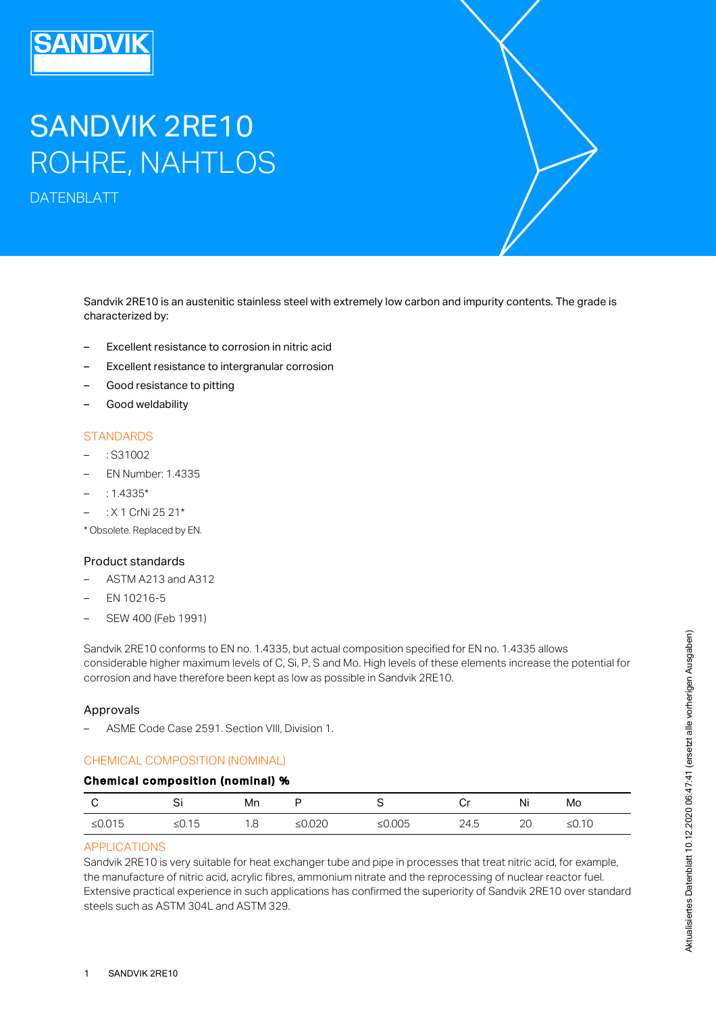# SANDVIK 2RE10 ROHRE, NAHTLOS

DATENBLATT

Sandvik 2RE10 is an austenitic stainless steel with extremely low carbon and impurity contents. The grade is characterized by:

- Excellent resistance to corrosion in nitric acid
- Excellent resistance to intergranular corrosion
- Good resistance to pitting
- Good weldability

#### **STANDARDS**

- : S31002
- EN Number: 1.4335
- $: 1.4335*$
- : X 1 CrNi 25 21\*
- \* Obsolete. Replaced by EN.

#### Product standards

- ASTM A213 and A312
- EN 10216-5
- SEW 400 (Feb 1991)

Sandvik 2RE10 conforms to EN no. 1.4335, but actual composition specified for EN no. 1.4335 allows considerable higher maximum levels of C, Si, P, S and Mo. High levels of these elements increase the potential for corrosion and have therefore been kept as low as possible in Sandvik 2RE10.

#### Approvals

– ASME Code Case 2591. Section VIII, Division 1.

# CHEMICAL COMPOSITION (NOMINAL)

## Chemical composition (nominal) %

| ◡         | ັ         | Mn  |                  |           | ⌒…<br>י | Ni | Mo       |
|-----------|-----------|-----|------------------|-----------|---------|----|----------|
| ≤ $0.015$ | -<br>ל ⊓≥ | 1.8 | റാറ<br>◡▵◡<br>-- | ≤ $0.005$ | 24.5    | 2C | ≤ $0.10$ |

# APPLICATIONS

Sandvik 2RE10 is very suitable for heat exchanger tube and pipe in processes that treat nitric acid, for example, the manufacture of nitric acid, acrylic fibres, ammonium nitrate and the reprocessing of nuclear reactor fuel. Extensive practical experience in such applications has confirmed the superiority of Sandvik 2RE10 over standard steels such as ASTM 304L and ASTM 329.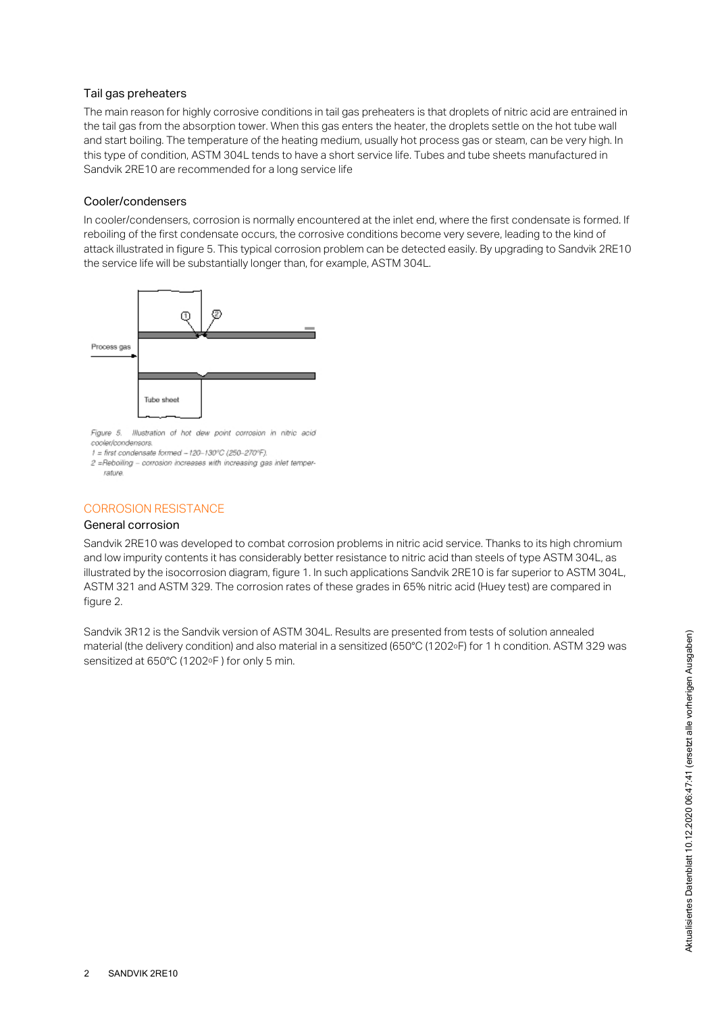#### Tail gas preheaters

The main reason for highly corrosive conditions in tail gas preheaters is that droplets of nitric acid are entrained in the tail gas from the absorption tower. When this gas enters the heater, the droplets settle on the hot tube wall and start boiling. The temperature of the heating medium, usually hot process gas or steam, can be very high. In this type of condition, ASTM 304L tends to have a short service life. Tubes and tube sheets manufactured in Sandvik 2RE10 are recommended for a long service life

#### Cooler/condensers

In cooler/condensers, corrosion is normally encountered at the inlet end, where the first condensate is formed. If reboiling of the first condensate occurs, the corrosive conditions become very severe, leading to the kind of attack illustrated in figure 5. This typical corrosion problem can be detected easily. By upgrading to Sandvik 2RE10 the service life will be substantially longer than, for example, ASTM 304L.



Figure 5. Illustration of hot dew point corrosion in nitric acid cooler/condensors.

 $1 =$  first condensate formed  $-120 - 130$ <sup>o</sup>C (250-270°F).

#### CORROSION RESISTANCE

#### General corrosion

Sandvik 2RE10 was developed to combat corrosion problems in nitric acid service. Thanks to its high chromium and low impurity contents it has considerably better resistance to nitric acid than steels of type ASTM 304L, as illustrated by the isocorrosion diagram, figure 1. In such applications Sandvik 2RE10 is far superior to ASTM 304L, ASTM 321 and ASTM 329. The corrosion rates of these grades in 65% nitric acid (Huey test) are compared in figure 2.

Sandvik 3R12 is the Sandvik version of ASTM 304L. Results are presented from tests of solution annealed material (the delivery condition) and also material in a sensitized (650°C (1202°F) for 1 h condition. ASTM 329 was sensitized at 650°C (1202°F) for only 5 min.

<sup>2 =</sup>Reboiling - corrosion increases with increasing gas inlet temperrature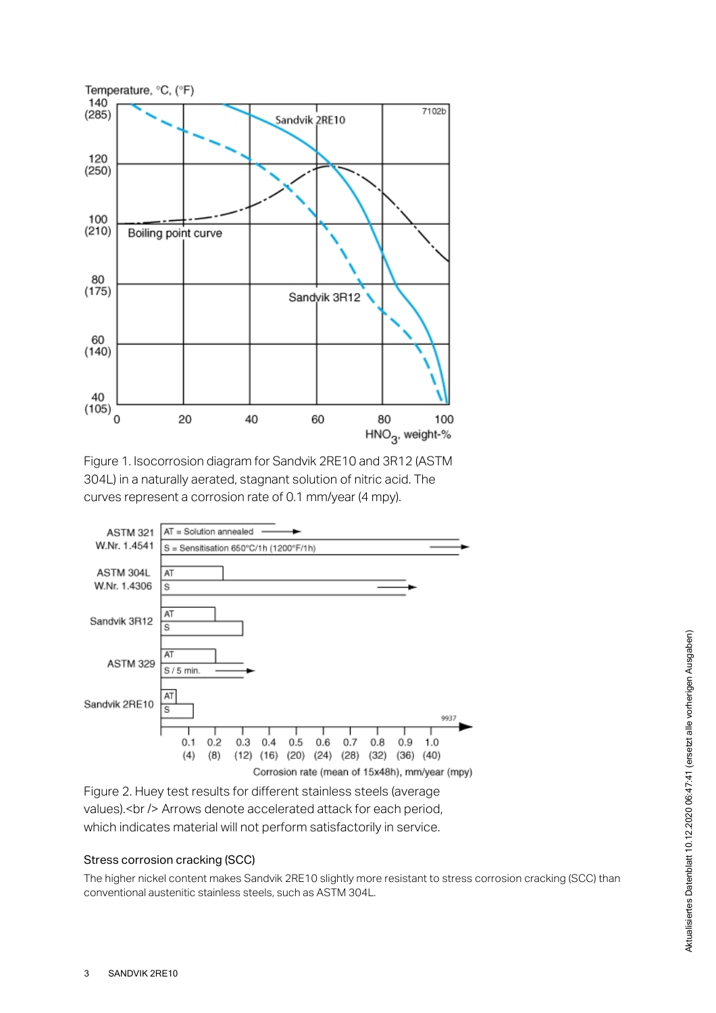





Figure 2. Huey test results for different stainless steels (average values).< br /> Arrows denote accelerated attack for each period, which indicates material will not perform satisfactorily in service.

## Stress corrosion cracking (SCC)

The higher nickel content makes Sandvik 2RE10 slightly more resistant to stress corrosion cracking (SCC) than conventional austenitic stainless steels, such as ASTM 304L.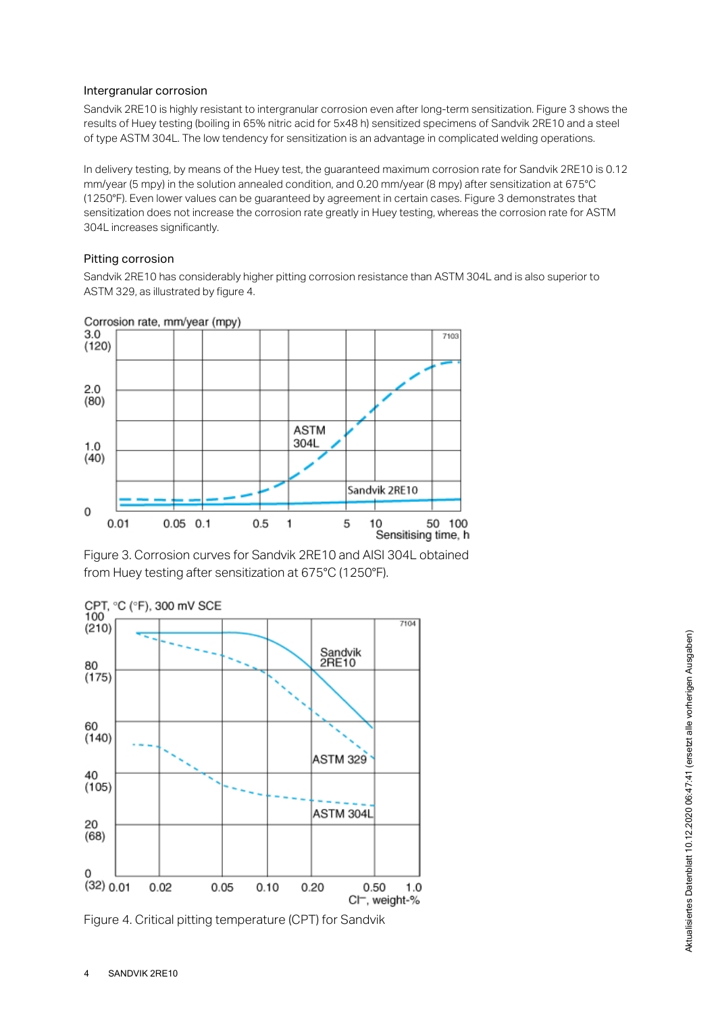#### Intergranular corrosion

Sandvik 2RE10 is highly resistant to intergranular corrosion even after long-term sensitization. Figure 3 shows the results of Huey testing (boiling in 65% nitric acid for 5x48 h) sensitized specimens of Sandvik 2RE10 and a steel of type ASTM 304L. The low tendency for sensitization is an advantage in complicated welding operations.

In delivery testing, by means of the Huey test, the guaranteed maximum corrosion rate for Sandvik 2RE10 is 0.12 mm/year (5 mpy) in the solution annealed condition, and 0.20 mm/year (8 mpy) after sensitization at 675°C (1250°F). Even lower values can be guaranteed by agreement in certain cases. Figure 3 demonstrates that sensitization does not increase the corrosion rate greatly in Huey testing, whereas the corrosion rate for ASTM 304L increases significantly.

## Pitting corrosion

Sandvik 2RE10 has considerably higher pitting corrosion resistance than ASTM 304L and is also superior to ASTM 329, as illustrated by figure 4.



Figure 3. Corrosion curves for Sandvik 2RE10 and AISI 304L obtained from Huey testing after sensitization at 675°C (1250°F).



Figure 4. Critical pitting temperature (CPT) for Sandvik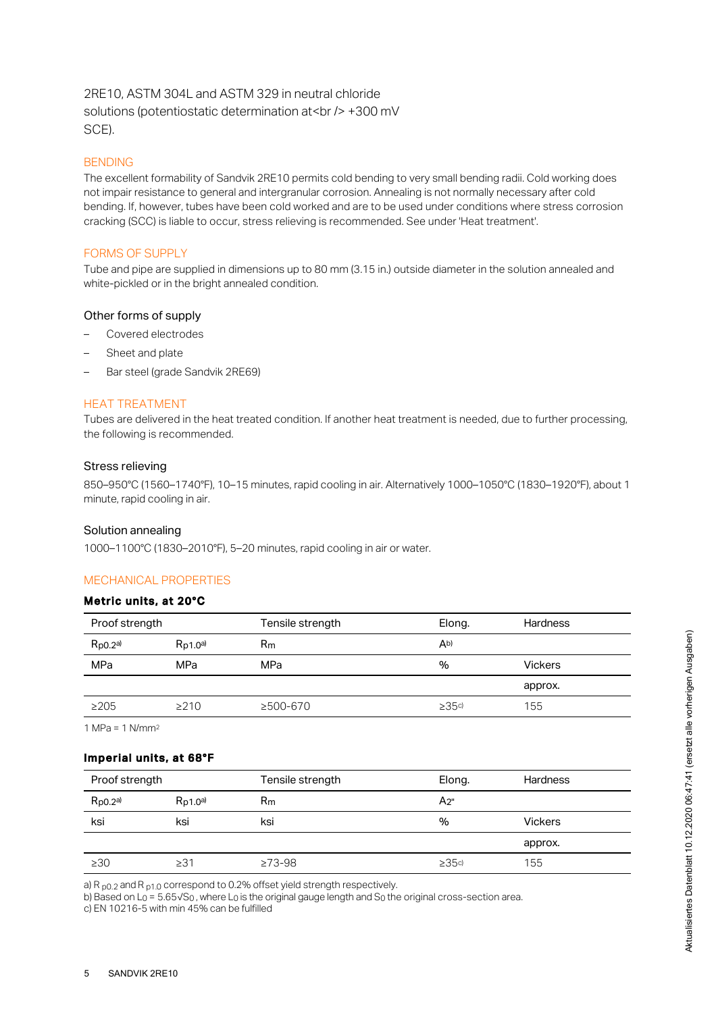# 2RE10, ASTM 304L and ASTM 329 in neutral chloride solutions (potentiostatic determination at <br />>> +300 mV SCE).

## BENDING

The excellent formability of Sandvik 2RE10 permits cold bending to very small bending radii. Cold working does not impair resistance to general and intergranular corrosion. Annealing is not normally necessary after cold bending. If, however, tubes have been cold worked and are to be used under conditions where stress corrosion cracking (SCC) is liable to occur, stress relieving is recommended. See under 'Heat treatment'.

## FORMS OF SUPPLY

Tube and pipe are supplied in dimensions up to 80 mm (3.15 in.) outside diameter in the solution annealed and white-pickled or in the bright annealed condition.

#### Other forms of supply

- Covered electrodes
- Sheet and plate
- Bar steel (grade Sandvik 2RE69)

## HEAT TREATMENT

Tubes are delivered in the heat treated condition. If another heat treatment is needed, due to further processing, the following is recommended.

#### Stress relieving

850–950°C (1560–1740°F), 10–15 minutes, rapid cooling in air. Alternatively 1000–1050°C (1830–1920°F), about 1 minute, rapid cooling in air.

## Solution annealing

1000–1100°C (1830–2010°F), 5–20 minutes, rapid cooling in air or water.

## MECHANICAL PROPERTIES

## Metric units, at 20°C

| Proof strength |               | Tensile strength | Elong. | <b>Hardness</b> |  |
|----------------|---------------|------------------|--------|-----------------|--|
| $R_{p0.2}$ a)  | $R_{D1,0}$ a) | $R_m$            | Ab)    |                 |  |
| MPa            | MPa           | MPa              | %      | <b>Vickers</b>  |  |
|                |               |                  |        | approx.         |  |
| $\geq$ 205     | >210          | ≥500-670         | >35c   | 155             |  |
|                |               |                  |        |                 |  |

1 MPa = 1 N/mm 2

#### Imperial units, at 68°F

| Proof strength |               | Tensile strength | Elong.    | <b>Hardness</b> |
|----------------|---------------|------------------|-----------|-----------------|
| $R_{p0.2}$ a)  | $R_{D1,0}$ a) | $R_{m}$          | $A_{2}$ " |                 |
| ksi            | ksi           | ksi              | %         | <b>Vickers</b>  |
|                |               |                  |           | approx.         |
| $\geq 30$      | ≥31           | $\geq 73 - 98$   | >35c      | 155             |

a) R  $_{\text{p0.2}}$  and R  $_{\text{p1.0}}$  correspond to 0.2% offset yield strength respectively.

b) Based on L $_0$  = 5.65√S $_0$ , where L $_0$  is the original gauge length and S $_0$  the original cross-section area. c) EN 10216-5 with min 45% can be fulfilled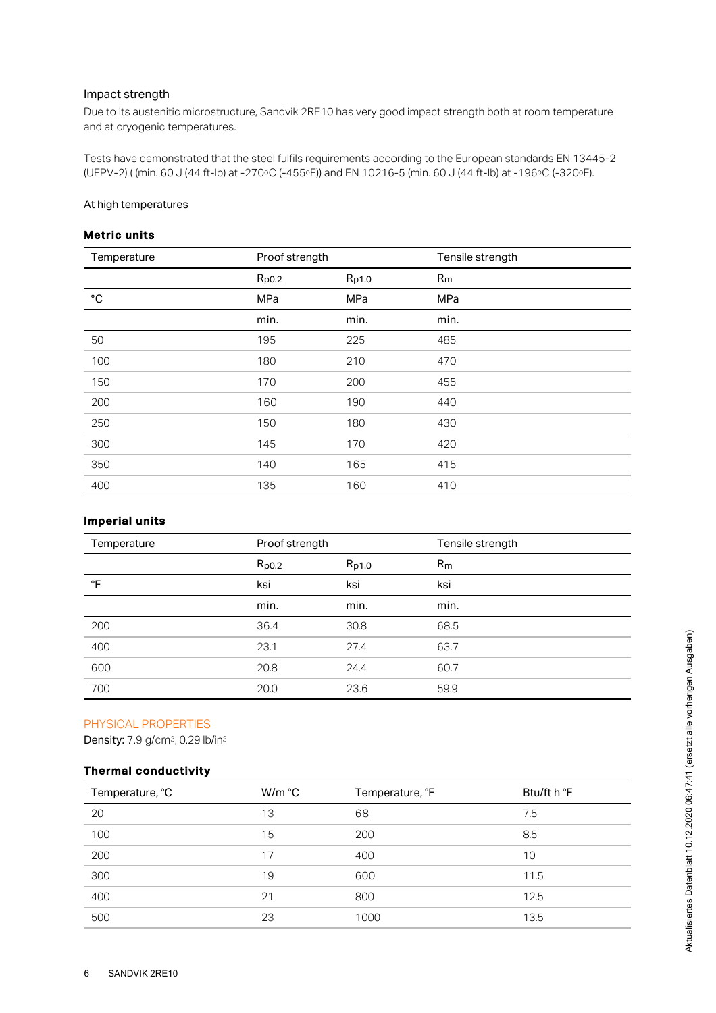#### Impact strength

Due to its austenitic microstructure, Sandvik 2RE10 has very good impact strength both at room temperature and at cryogenic temperatures.

Tests have demonstrated that the steel fulfils requirements according to the European standards EN 13445-2 (UFPV-2) ( (min. 60 J (44 ft-lb) at -270ºC (-455ºF)) and EN 10216-5 (min. 60 J (44 ft-lb) at -196ºC (-320ºF).

#### At high temperatures

# Metric units

| Temperature  | Proof strength |       | Tensile strength |
|--------------|----------------|-------|------------------|
|              | $R_{p0.2}$     | Rp1.0 | R <sub>m</sub>   |
| $^{\circ}$ C | MPa            | MPa   | MPa              |
|              | min.           | min.  | min.             |
| 50           | 195            | 225   | 485              |
| 100          | 180            | 210   | 470              |
| 150          | 170            | 200   | 455              |
| 200          | 160            | 190   | 440              |
| 250          | 150            | 180   | 430              |
| 300          | 145            | 170   | 420              |
| 350          | 140            | 165   | 415              |
| 400          | 135            | 160   | 410              |

# Imperial units

| Temperature | Proof strength |       | Tensile strength |
|-------------|----------------|-------|------------------|
|             | $R_{p0.2}$     | Rp1.0 | R <sub>m</sub>   |
| °F          | ksi            | ksi   | ksi              |
|             | min.           | min.  | min.             |
| 200         | 36.4           | 30.8  | 68.5             |
| 400         | 23.1           | 27.4  | 63.7             |
| 600         | 20.8           | 24.4  | 60.7             |
| 700         | 20.0           | 23.6  | 59.9             |

#### PHYSICAL PROPERTIES

Density: 7.9 g/cm<sup>3</sup>, 0.29 lb/in<sup>3</sup>

# Thermal conductivity

| Temperature, °C | W/m °C | Temperature, °F | Btu/ft h °F |
|-----------------|--------|-----------------|-------------|
| 20              | 13     | 68              | 7.5         |
| 100             | 15     | 200             | 8.5         |
| 200             | 17     | 400             | 10          |
| 300             | 19     | 600             | 11.5        |
| 400             | 21     | 800             | 12.5        |
| 500             | 23     | 1000            | 13.5        |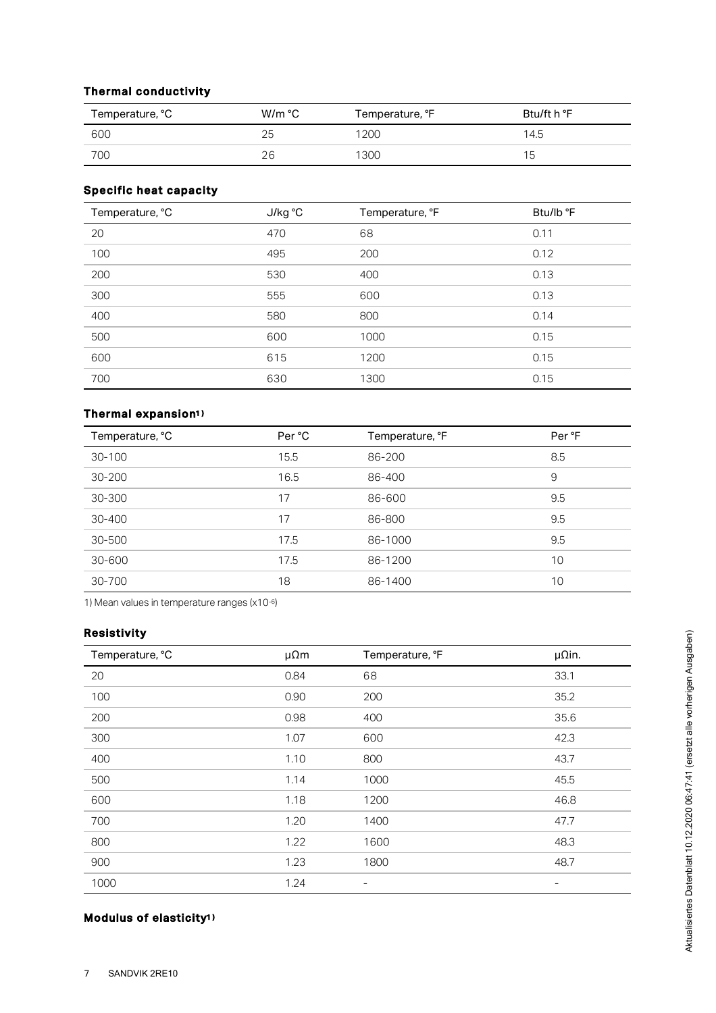# Thermal conductivity

| Temperature, °C | W/m °C | Temperature, °F | Btu/ft h °F |
|-----------------|--------|-----------------|-------------|
| 600             | 25     | 1200            | 14.5        |
| 700             | 26     | 1300            | ٦5          |

## Specific heat capacity

| Temperature, °C | J/kg °C | Temperature, °F | Btu/lb °F |
|-----------------|---------|-----------------|-----------|
| 20              | 470     | 68              | 0.11      |
| 100             | 495     | 200             | 0.12      |
| 200             | 530     | 400             | 0.13      |
| 300             | 555     | 600             | 0.13      |
| 400             | 580     | 800             | 0.14      |
| 500             | 600     | 1000            | 0.15      |
| 600             | 615     | 1200            | 0.15      |
| 700             | 630     | 1300            | 0.15      |

#### Thermal expansion 1 )

| Temperature, °C | Per °C | Temperature, °F | Per °F |
|-----------------|--------|-----------------|--------|
| 30-100          | 15.5   | 86-200          | 8.5    |
| $30 - 200$      | 16.5   | 86-400          | 9      |
| 30-300          | 17     | 86-600          | 9.5    |
| 30-400          | 17     | 86-800          | 9.5    |
| 30-500          | 17.5   | 86-1000         | 9.5    |
| 30-600          | 17.5   | 86-1200         | 10     |
| 30-700          | 18     | 86-1400         | 10     |

1) Mean values in temperature ranges  $(x10^{-6})$ 

# Resistivity

| Temperature, °C | $\mu \Omega m$ | Temperature, °F          | $\mu$ Qin.               |
|-----------------|----------------|--------------------------|--------------------------|
| 20              | 0.84           | 68                       | 33.1                     |
| 100             | 0.90           | 200                      | 35.2                     |
| 200             | 0.98           | 400                      | 35.6                     |
| 300             | 1.07           | 600                      | 42.3                     |
| 400             | 1.10           | 800                      | 43.7                     |
| 500             | 1.14           | 1000                     | 45.5                     |
| 600             | 1.18           | 1200                     | 46.8                     |
| 700             | 1.20           | 1400                     | 47.7                     |
| 800             | 1.22           | 1600                     | 48.3                     |
| 900             | 1.23           | 1800                     | 48.7                     |
| 1000            | 1.24           | $\overline{\phantom{a}}$ | $\overline{\phantom{a}}$ |

#### Modulus of elasticity 1 )